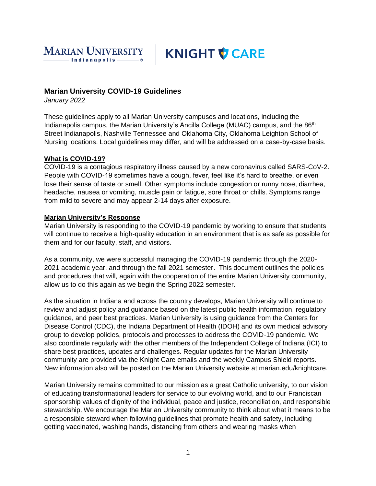

# **KNIGHT V CARE**

# **Marian University COVID-19 Guidelines**

*January 2022*

These guidelines apply to all Marian University campuses and locations, including the Indianapolis campus, the Marian University's Ancilla College (MUAC) campus, and the 86<sup>th</sup> Street Indianapolis, Nashville Tennessee and Oklahoma City, Oklahoma Leighton School of Nursing locations. Local guidelines may differ, and will be addressed on a case-by-case basis.

#### **What is COVID-19?**

COVID-19 is a contagious respiratory illness caused by a new coronavirus called SARS-CoV-2. People with COVID-19 sometimes have a cough, fever, feel like it's hard to breathe, or even lose their sense of taste or smell. Other symptoms include congestion or runny nose, diarrhea, headache, nausea or vomiting, muscle pain or fatigue, sore throat or chills. Symptoms range from mild to severe and may appear 2-14 days after exposure.

#### **Marian University's Response**

Marian University is responding to the COVID-19 pandemic by working to ensure that students will continue to receive a high-quality education in an environment that is as safe as possible for them and for our faculty, staff, and visitors.

As a community, we were successful managing the COVID-19 pandemic through the 2020- 2021 academic year, and through the fall 2021 semester. This document outlines the policies and procedures that will, again with the cooperation of the entire Marian University community, allow us to do this again as we begin the Spring 2022 semester.

As the situation in Indiana and across the country develops, Marian University will continue to review and adjust policy and guidance based on the latest public health information, regulatory guidance, and peer best practices. Marian University is using guidance from the Centers for Disease Control (CDC), the Indiana Department of Health (IDOH) and its own medical advisory group to develop policies, protocols and processes to address the COVID-19 pandemic. We also coordinate regularly with the other members of the Independent College of Indiana (ICI) to share best practices, updates and challenges. Regular updates for the Marian University community are provided via the Knight Care emails and the weekly Campus Shield reports. New information also will be posted on the Marian University website at marian.edu/knightcare.

Marian University remains committed to our mission as a great Catholic university, to our vision of educating transformational leaders for service to our evolving world, and to our Franciscan sponsorship values of dignity of the individual, peace and justice, reconciliation, and responsible stewardship. We encourage the Marian University community to think about what it means to be a responsible steward when following guidelines that promote health and safety, including getting vaccinated, washing hands, distancing from others and wearing masks when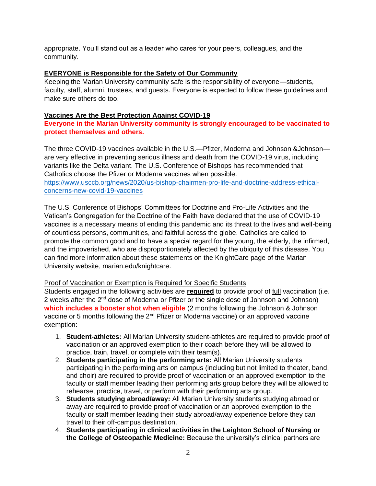appropriate. You'll stand out as a leader who cares for your peers, colleagues, and the community.

#### **EVERYONE is Responsible for the Safety of Our Community**

Keeping the Marian University community safe is the responsibility of everyone—students, faculty, staff, alumni, trustees, and guests. Everyone is expected to follow these guidelines and make sure others do too.

#### **Vaccines Are the Best Protection Against COVID-19**

**Everyone in the Marian University community is strongly encouraged to be vaccinated to protect themselves and others.** 

The three COVID-19 vaccines available in the U.S.—Pfizer, Moderna and Johnson &Johnson are very effective in preventing serious illness and death from the COVID-19 virus, including variants like the Delta variant. The U.S. Conference of Bishops has recommended that Catholics choose the Pfizer or Moderna vaccines when possible. [https://www.usccb.org/news/2020/us-bishop-chairmen-pro-life-and-doctrine-address-ethical](https://www.usccb.org/news/2020/us-bishop-chairmen-pro-life-and-doctrine-address-ethical-concerns-new-covid-19-vaccines)[concerns-new-covid-19-vaccines](https://www.usccb.org/news/2020/us-bishop-chairmen-pro-life-and-doctrine-address-ethical-concerns-new-covid-19-vaccines)

The U.S. Conference of Bishops' Committees for Doctrine and Pro-Life Activities and the Vatican's Congregation for the Doctrine of the Faith have declared that the use of COVID-19 vaccines is a necessary means of ending this pandemic and its threat to the lives and well-being of countless persons, communities, and faithful across the globe. Catholics are called to promote the common good and to have a special regard for the young, the elderly, the infirmed, and the impoverished, who are disproportionately affected by the ubiquity of this disease. You can find more information about these statements on the KnightCare page of the Marian University website, marian.edu/knightcare.

# Proof of Vaccination or Exemption is Required for Specific Students

Students engaged in the following activities are **required** to provide proof of full vaccination (i.e. 2 weeks after the 2<sup>nd</sup> dose of Moderna or Pfizer or the single dose of Johnson and Johnson) **which includes a booster shot when eligible** (2 months following the Johnson & Johnson vaccine or 5 months following the 2<sup>nd</sup> Pfizer or Moderna vaccine) or an approved vaccine exemption:

- 1. **Student-athletes:** All Marian University student-athletes are required to provide proof of vaccination or an approved exemption to their coach before they will be allowed to practice, train, travel, or complete with their team(s).
- 2. **Students participating in the performing arts:** All Marian University students participating in the performing arts on campus (including but not limited to theater, band, and choir) are required to provide proof of vaccination or an approved exemption to the faculty or staff member leading their performing arts group before they will be allowed to rehearse, practice, travel, or perform with their performing arts group.
- 3. **Students studying abroad/away:** All Marian University students studying abroad or away are required to provide proof of vaccination or an approved exemption to the faculty or staff member leading their study abroad/away experience before they can travel to their off-campus destination.
- 4. **Students participating in clinical activities in the Leighton School of Nursing or the College of Osteopathic Medicine:** Because the university's clinical partners are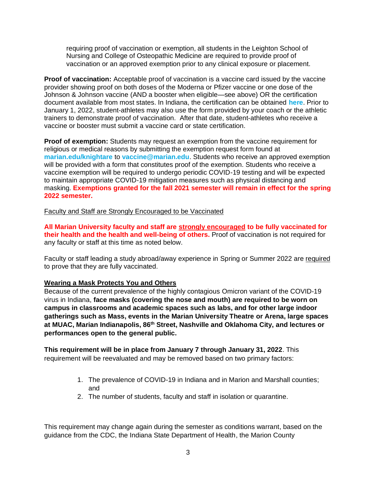requiring proof of vaccination or exemption, all students in the Leighton School of Nursing and College of Osteopathic Medicine are required to provide proof of vaccination or an approved exemption prior to any clinical exposure or placement.

**Proof of vaccination:** Acceptable proof of vaccination is a vaccine card issued by the vaccine provider showing proof on both doses of the Moderna or Pfizer vaccine or one dose of the Johnson & Johnson vaccine (AND a booster when eligible—see above) OR the certification document available from most states. In Indiana, the certification can be obtained **[here](https://urldefense.com/v3/__http:/www.ne16.com/t/3084951/57892981/3080967/0/1002399/?x=0a96c62d__;!!DUogwUQ!SR4qf7vqdTaW5y-NVhUTkPzlZOSwf2hBzmM3nQLZF7T4GHfzOXEJG3oyEXvnfA1oCw$)**. Prior to January 1, 2022, student-athletes may also use the form provided by your coach or the athletic trainers to demonstrate proof of vaccination. After that date, student-athletes who receive a vaccine or booster must submit a vaccine card or state certification.

**Proof of exemption:** Students may request an exemption from the vaccine requirement for religious or medical reasons by submitting the exemption request form found at **[marian.edu/knightare](https://urldefense.com/v3/__http:/www.ne16.com/t/3084951/57892981/2693824/1/1002399/?x=97496cec__;!!DUogwUQ!SR4qf7vqdTaW5y-NVhUTkPzlZOSwf2hBzmM3nQLZF7T4GHfzOXEJG3oyEXsdS6bX8w$)** to **[vaccine@marian.edu](mailto:vaccine@marian.edu)**. Students who receive an approved exemption will be provided with a form that constitutes proof of the exemption. Students who receive a vaccine exemption will be required to undergo periodic COVID-19 testing and will be expected to maintain appropriate COVID-19 mitigation measures such as physical distancing and masking. **Exemptions granted for the fall 2021 semester will remain in effect for the spring 2022 semester.** 

Faculty and Staff are Strongly Encouraged to be Vaccinated

**All Marian University faculty and staff are strongly encouraged to be fully vaccinated for their health and the health and well-being of others.** Proof of vaccination is not required for any faculty or staff at this time as noted below.

Faculty or staff leading a study abroad/away experience in Spring or Summer 2022 are required to prove that they are fully vaccinated.

# **Wearing a Mask Protects You and Others**

Because of the current prevalence of the highly contagious Omicron variant of the COVID-19 virus in Indiana, **face masks (covering the nose and mouth) are required to be worn on campus in classrooms and academic spaces such as labs, and for other large indoor gatherings such as Mass, events in the Marian University Theatre or Arena, large spaces at MUAC, Marian Indianapolis, 86th Street, Nashville and Oklahoma City, and lectures or performances open to the general public.** 

**This requirement will be in place from January 7 through January 31, 2022**. This requirement will be reevaluated and may be removed based on two primary factors:

- 1. The prevalence of COVID-19 in Indiana and in Marion and Marshall counties; and
- 2. The number of students, faculty and staff in isolation or quarantine.

This requirement may change again during the semester as conditions warrant, based on the guidance from the CDC, the Indiana State Department of Health, the Marion County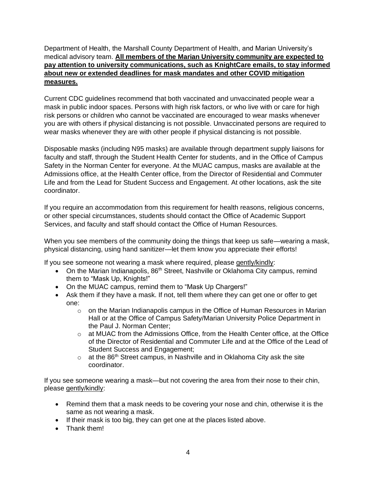Department of Health, the Marshall County Department of Health, and Marian University's medical advisory team. **All members of the Marian University community are expected to pay attention to university communications, such as KnightCare emails, to stay informed about new or extended deadlines for mask mandates and other COVID mitigation measures.** 

Current CDC guidelines recommend that both vaccinated and unvaccinated people wear a mask in public indoor spaces. Persons with high risk factors, or who live with or care for high risk persons or children who cannot be vaccinated are encouraged to wear masks whenever you are with others if physical distancing is not possible. Unvaccinated persons are required to wear masks whenever they are with other people if physical distancing is not possible.

Disposable masks (including N95 masks) are available through department supply liaisons for faculty and staff, through the Student Health Center for students, and in the Office of Campus Safety in the Norman Center for everyone. At the MUAC campus, masks are available at the Admissions office, at the Health Center office, from the Director of Residential and Commuter Life and from the Lead for Student Success and Engagement. At other locations, ask the site coordinator.

If you require an accommodation from this requirement for health reasons, religious concerns, or other special circumstances, students should contact the Office of Academic Support Services, and faculty and staff should contact the Office of Human Resources.

When you see members of the community doing the things that keep us safe—wearing a mask, physical distancing, using hand sanitizer—let them know you appreciate their efforts!

If you see someone not wearing a mask where required, please gently/kindly:

- On the Marian Indianapolis, 86<sup>th</sup> Street, Nashville or Oklahoma City campus, remind them to "Mask Up, Knights!"
- On the MUAC campus, remind them to "Mask Up Chargers!"
- Ask them if they have a mask. If not, tell them where they can get one or offer to get one:
	- $\circ$  on the Marian Indianapolis campus in the Office of Human Resources in Marian Hall or at the Office of Campus Safety/Marian University Police Department in the Paul J. Norman Center;
	- o at MUAC from the Admissions Office, from the Health Center office, at the Office of the Director of Residential and Commuter Life and at the Office of the Lead of Student Success and Engagement;
	- $\circ$  at the 86<sup>th</sup> Street campus, in Nashville and in Oklahoma City ask the site coordinator.

If you see someone wearing a mask—but not covering the area from their nose to their chin, please gently/kindly:

- Remind them that a mask needs to be covering your nose and chin, otherwise it is the same as not wearing a mask.
- If their mask is too big, they can get one at the places listed above.
- Thank them!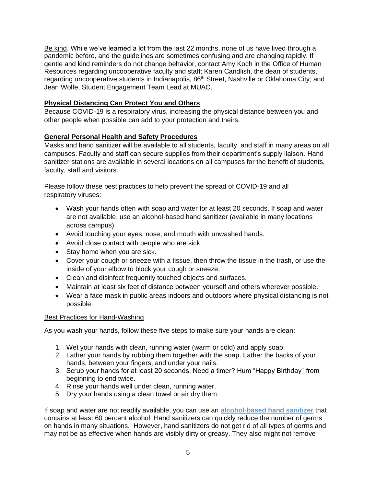Be kind. While we've learned a lot from the last 22 months, none of us have lived through a pandemic before, and the guidelines are sometimes confusing and are changing rapidly. If gentle and kind reminders do not change behavior, contact Amy Koch in the Office of Human Resources regarding uncooperative faculty and staff; Karen Candlish, the dean of students, regarding uncooperative students in Indianapolis, 86<sup>th</sup> Street, Nashville or Oklahoma City; and Jean Wolfe, Student Engagement Team Lead at MUAC.

# **Physical Distancing Can Protect You and Others**

Because COVID-19 is a respiratory virus, increasing the physical distance between you and other people when possible can add to your protection and theirs.

# **General Personal Health and Safety Procedures**

Masks and hand sanitizer will be available to all students, faculty, and staff in many areas on all campuses. Faculty and staff can secure supplies from their department's supply liaison. Hand sanitizer stations are available in several locations on all campuses for the benefit of students, faculty, staff and visitors.

Please follow these best practices to help prevent the spread of COVID-19 and all respiratory viruses:

- Wash your hands often with soap and water for at least 20 seconds. If soap and water are not available, use an alcohol-based hand sanitizer (available in many locations across campus).
- Avoid touching your eyes, nose, and mouth with unwashed hands.
- Avoid close contact with people who are sick.
- Stay home when you are sick.
- Cover your cough or sneeze with a tissue, then throw the tissue in the trash, or use the inside of your elbow to block your cough or sneeze.
- Clean and disinfect frequently touched objects and surfaces.
- Maintain at least six feet of distance between yourself and others wherever possible.
- Wear a face mask in public areas indoors and outdoors where physical distancing is not possible.

# Best Practices for Hand-Washing

As you wash your hands, follow these five steps to make sure your hands are clean:

- 1. Wet your hands with clean, running water (warm or cold) and apply soap.
- 2. Lather your hands by rubbing them together with the soap. Lather the backs of your hands, between your fingers, and under your nails.
- 3. Scrub your hands for at least 20 seconds. Need a timer? Hum "Happy Birthday" from beginning to end twice.
- 4. Rinse your hands well under clean, running water.
- 5. Dry your hands using a clean towel or air dry them.

If soap and water are not readily available, you can use an **[alcohol-based hand sanitizer](http://www.ne16.com/t/2217330/40003933/2632113/0/1002399/?f5d63f87=SGVhbHRoJTIwTmV3c2xldHRlcg&x=03d78883)** that contains at least 60 percent alcohol. Hand sanitizers can quickly reduce the number of germs on hands in many situations. However, hand sanitizers do not get rid of all types of germs and may not be as effective when hands are visibly dirty or greasy. They also might not remove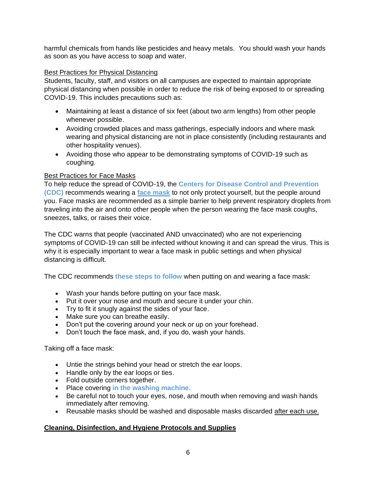harmful chemicals from hands like pesticides and heavy metals. You should wash your hands as soon as you have access to soap and water.

# Best Practices for Physical Distancing

Students, faculty, staff, and visitors on all campuses are expected to maintain appropriate physical distancing when possible in order to reduce the risk of being exposed to or spreading COVID-19. This includes precautions such as:

- Maintaining at least a distance of six feet (about two arm lengths) from other people whenever possible.
- Avoiding crowded places and mass gatherings, especially indoors and where mask wearing and physical distancing are not in place consistently (including restaurants and other hospitality venues).
- Avoiding those who appear to be demonstrating symptoms of COVID-19 such as coughing.

# Best Practices for Face Masks

To help reduce the spread of COVID-19, the **[Centers for Disease Control and Prevention](http://www.ne16.com/t/2275108/40003933/2534611/0/1002399/?f5d63f87=S25pZ2h0Q2FyZSUyMDcuMS4yMDIw&x=5ab5ef4a)  [\(CDC\)](http://www.ne16.com/t/2275108/40003933/2534611/0/1002399/?f5d63f87=S25pZ2h0Q2FyZSUyMDcuMS4yMDIw&x=5ab5ef4a)** recommends wearing a **[face mask](http://www.ne16.com/t/2275108/40003933/2663487/0/1002399/?f5d63f87=S25pZ2h0Q2FyZSUyMDcuMS4yMDIw&x=6499794e)** to not only protect yourself, but the people around you. Face masks are recommended as a simple barrier to help prevent respiratory droplets from traveling into the air and onto other people when the person wearing the face mask coughs, sneezes, talks, or raises their voice.

The CDC warns that people (vaccinated AND unvaccinated) who are not experiencing symptoms of COVID-19 can still be infected without knowing it and can spread the virus. This is why it is especially important to wear a face mask in public settings and when physical distancing is difficult.

The CDC recommends **[these steps to follow](http://www.ne16.com/t/2275108/40003933/2663488/0/1002399/?f5d63f87=S25pZ2h0Q2FyZSUyMDcuMS4yMDIw&x=35787717)** when putting on and wearing a face mask:

- Wash your hands before putting on your face mask.
- Put it over your nose and mouth and secure it under your chin.
- Try to fit it snugly against the sides of your face.
- Make sure you can breathe easily.
- Don't put the covering around your neck or up on your forehead.
- Don't touch the face mask, and, if you do, wash your hands.

Taking off a face mask:

- Untie the strings behind your head or stretch the ear loops.
- Handle only by the ear loops or ties.
- Fold outside corners together.
- Place covering **[in the washing machine.](http://www.ne16.com/t/2275108/40003933/2664235/0/1002399/?f5d63f87=S25pZ2h0Q2FyZSUyMDcuMS4yMDIw&x=9b8f457d)**
- Be careful not to touch your eyes, nose, and mouth when removing and wash hands immediately after removing.
- Reusable masks should be washed and disposable masks discarded after each use.

# **Cleaning, Disinfection, and Hygiene Protocols and Supplies**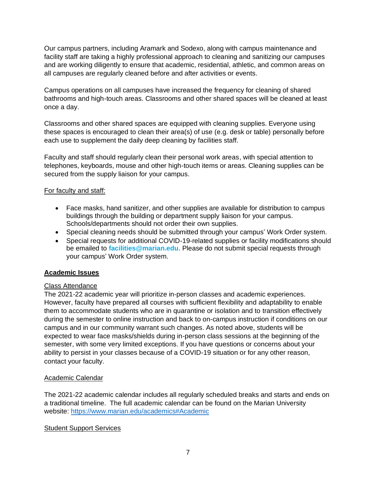Our campus partners, including Aramark and Sodexo, along with campus maintenance and facility staff are taking a highly professional approach to cleaning and sanitizing our campuses and are working diligently to ensure that academic, residential, athletic, and common areas on all campuses are regularly cleaned before and after activities or events.

Campus operations on all campuses have increased the frequency for cleaning of shared bathrooms and high-touch areas. Classrooms and other shared spaces will be cleaned at least once a day.

Classrooms and other shared spaces are equipped with cleaning supplies. Everyone using these spaces is encouraged to clean their area(s) of use (e.g. desk or table) personally before each use to supplement the daily deep cleaning by facilities staff.

Faculty and staff should regularly clean their personal work areas, with special attention to telephones, keyboards, mouse and other high-touch items or areas. Cleaning supplies can be secured from the supply liaison for your campus.

# For faculty and staff:

- Face masks, hand sanitizer, and other supplies are available for distribution to campus buildings through the building or department supply liaison for your campus. Schools/departments should not order their own supplies.
- Special cleaning needs should be submitted through your campus' Work Order system.
- Special requests for additional COVID-19-related supplies or facility modifications should be emailed to **[facilities@marian.edu](mailto:facilities@marian.edu)**. Please do not submit special requests through your campus' Work Order system.

# **Academic Issues**

# Class Attendance

The 2021-22 academic year will prioritize in-person classes and academic experiences. However, faculty have prepared all courses with sufficient flexibility and adaptability to enable them to accommodate students who are in quarantine or isolation and to transition effectively during the semester to online instruction and back to on-campus instruction if conditions on our campus and in our community warrant such changes. As noted above, students will be expected to wear face masks/shields during in-person class sessions at the beginning of the semester, with some very limited exceptions. If you have questions or concerns about your ability to persist in your classes because of a COVID-19 situation or for any other reason, contact your faculty.

# Academic Calendar

The 2021-22 academic calendar includes all regularly scheduled breaks and starts and ends on a traditional timeline. The full academic calendar can be found on the Marian University website:<https://www.marian.edu/academics#Academic>

# Student Support Services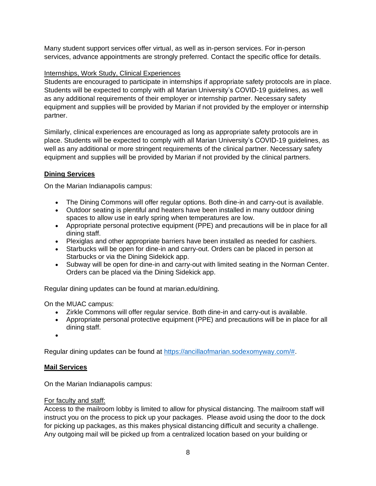Many student support services offer virtual, as well as in-person services. For in-person services, advance appointments are strongly preferred. Contact the specific office for details.

# Internships, Work Study, Clinical Experiences

Students are encouraged to participate in internships if appropriate safety protocols are in place. Students will be expected to comply with all Marian University's COVID-19 guidelines, as well as any additional requirements of their employer or internship partner. Necessary safety equipment and supplies will be provided by Marian if not provided by the employer or internship partner.

Similarly, clinical experiences are encouraged as long as appropriate safety protocols are in place. Students will be expected to comply with all Marian University's COVID-19 guidelines, as well as any additional or more stringent requirements of the clinical partner. Necessary safety equipment and supplies will be provided by Marian if not provided by the clinical partners.

# **Dining Services**

On the Marian Indianapolis campus:

- The Dining Commons will offer regular options. Both dine-in and carry-out is available.
- Outdoor seating is plentiful and heaters have been installed in many outdoor dining spaces to allow use in early spring when temperatures are low.
- Appropriate personal protective equipment (PPE) and precautions will be in place for all dining staff.
- Plexiglas and other appropriate barriers have been installed as needed for cashiers.
- Starbucks will be open for dine-in and carry-out. Orders can be placed in person at Starbucks or via the Dining Sidekick app.
- Subway will be open for dine-in and carry-out with limited seating in the Norman Center. Orders can be placed via the Dining Sidekick app.

Regular dining updates can be found at marian.edu/dining.

On the MUAC campus:

- Zirkle Commons will offer regular service. Both dine-in and carry-out is available.
- Appropriate personal protective equipment (PPE) and precautions will be in place for all dining staff.
- •

Regular dining updates can be found at [https://ancillaofmarian.sodexomyway.com/#.](https://ancillaofmarian.sodexomyway.com/)

# **Mail Services**

On the Marian Indianapolis campus:

# For faculty and staff:

Access to the mailroom lobby is limited to allow for physical distancing. The mailroom staff will instruct you on the process to pick up your packages. Please avoid using the door to the dock for picking up packages, as this makes physical distancing difficult and security a challenge. Any outgoing mail will be picked up from a centralized location based on your building or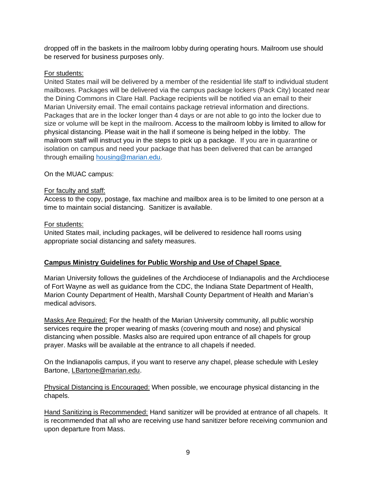dropped off in the baskets in the mailroom lobby during operating hours. Mailroom use should be reserved for business purposes only.

# For students:

United States mail will be delivered by a member of the residential life staff to individual student mailboxes. Packages will be delivered via the campus package lockers (Pack City) located near the Dining Commons in Clare Hall. Package recipients will be notified via an email to their Marian University email. The email contains package retrieval information and directions. Packages that are in the locker longer than 4 days or are not able to go into the locker due to size or volume will be kept in the mailroom. Access to the mailroom lobby is limited to allow for physical distancing. Please wait in the hall if someone is being helped in the lobby. The mailroom staff will instruct you in the steps to pick up a package. If you are in quarantine or isolation on campus and need your package that has been delivered that can be arranged through emailing [housing@marian.edu.](mailto:housing@marian.edu)

# On the MUAC campus:

# For faculty and staff:

Access to the copy, postage, fax machine and mailbox area is to be limited to one person at a time to maintain social distancing. Sanitizer is available.

# For students:

United States mail, including packages, will be delivered to residence hall rooms using appropriate social distancing and safety measures.

# **Campus Ministry Guidelines for Public Worship and Use of Chapel Space**

Marian University follows the guidelines of the Archdiocese of Indianapolis and the Archdiocese of Fort Wayne as well as guidance from the CDC, the Indiana State Department of Health, Marion County Department of Health, Marshall County Department of Health and Marian's medical advisors.

Masks Are Required: For the health of the Marian University community, all public worship services require the proper wearing of masks (covering mouth and nose) and physical distancing when possible. Masks also are required upon entrance of all chapels for group prayer. Masks will be available at the entrance to all chapels if needed.

On the Indianapolis campus, if you want to reserve any chapel, please schedule with Lesley Bartone, [LBartone@marian.edu.](mailto:LBartone@marian.edu)

Physical Distancing is Encouraged: When possible, we encourage physical distancing in the chapels.

Hand Sanitizing is Recommended: Hand sanitizer will be provided at entrance of all chapels. It is recommended that all who are receiving use hand sanitizer before receiving communion and upon departure from Mass.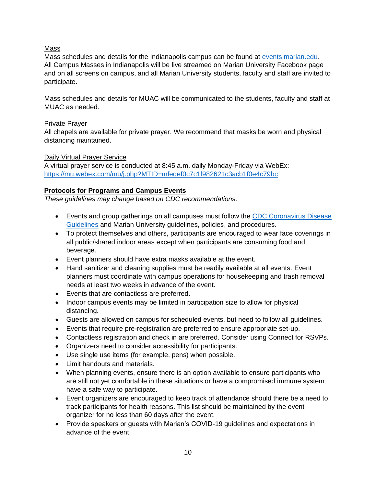# Mass

Mass schedules and details for the Indianapolis campus can be found at [events.marian.edu.](events.marian.edu) All Campus Masses in Indianapolis will be live streamed on Marian University Facebook page and on all screens on campus, and all Marian University students, faculty and staff are invited to participate.

Mass schedules and details for MUAC will be communicated to the students, faculty and staff at MUAC as needed.

# Private Prayer

All chapels are available for private prayer. We recommend that masks be worn and physical distancing maintained.

# Daily Virtual Prayer Service

A virtual prayer service is conducted at 8:45 a.m. daily Monday-Friday via WebEx: <https://mu.webex.com/mu/j.php?MTID=mfedef0c7c1f982621c3acb1f0e4c79bc>

# **Protocols for Programs and Campus Events**

*These guidelines may change based on CDC recommendations.*

- Events and group gatherings on all campuses must follow the CDC Coronavirus Disease [Guidelines](https://www.cdc.gov/coronavirus/2019-ncov/prevent-getting-sick/prevention.html) and Marian University guidelines, policies, and procedures.
- To protect themselves and others, participants are encouraged to wear face coverings in all public/shared indoor areas except when participants are consuming food and beverage.
- Event planners should have extra masks available at the event.
- Hand sanitizer and cleaning supplies must be readily available at all events. Event planners must coordinate with campus operations for housekeeping and trash removal needs at least two weeks in advance of the event.
- Events that are contactless are preferred.
- Indoor campus events may be limited in participation size to allow for physical distancing.
- Guests are allowed on campus for scheduled events, but need to follow all guidelines.
- Events that require pre-registration are preferred to ensure appropriate set-up.
- Contactless registration and check in are preferred. Consider using Connect for RSVPs.
- Organizers need to consider accessibility for participants.
- Use single use items (for example, pens) when possible.
- Limit handouts and materials.
- When planning events, ensure there is an option available to ensure participants who are still not yet comfortable in these situations or have a compromised immune system have a safe way to participate.
- Event organizers are encouraged to keep track of attendance should there be a need to track participants for health reasons. This list should be maintained by the event organizer for no less than 60 days after the event.
- Provide speakers or guests with Marian's COVID-19 guidelines and expectations in advance of the event.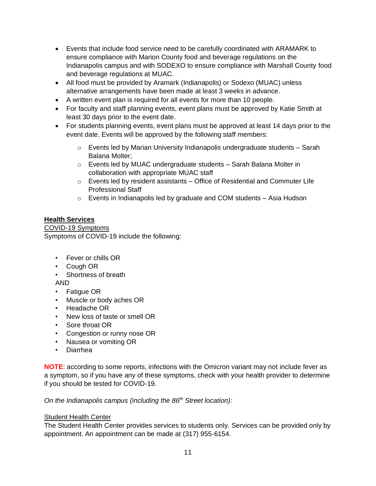- Events that include food service need to be carefully coordinated with ARAMARK to ensure compliance with Marion County food and beverage regulations on the Indianapolis campus and with SODEXO to ensure compliance with Marshall County food and beverage regulations at MUAC.
- All food must be provided by Aramark (Indianapolis) or Sodexo (MUAC) unless alternative arrangements have been made at least 3 weeks in advance.
- A written event plan is required for all events for more than 10 people.
- For faculty and staff planning events, event plans must be approved by Katie Smith at least 30 days prior to the event date.
- For students planning events, event plans must be approved at least 14 days prior to the event date. Events will be approved by the following staff members:
	- $\circ$  Events led by Marian University Indianapolis undergraduate students Sarah Balana Molter;
	- o Events led by MUAC undergraduate students Sarah Balana Molter in collaboration with appropriate MUAC staff
	- $\circ$  Events led by resident assistants Office of Residential and Commuter Life Professional Staff
	- o Events in Indianapolis led by graduate and COM students Asia Hudson

# **Health Services**

COVID-19 Symptoms Symptoms of COVID-19 include the following:

- Fever or chills OR
- Cough OR
- Shortness of breath
- AND
- Fatigue OR
- Muscle or body aches OR
- Headache OR
- New loss of taste or smell OR
- Sore throat OR
- Congestion or runny nose OR
- Nausea or vomiting OR
- Diarrhea

**NOTE**: according to some reports, infections with the Omicron variant may not include fever as a symptom, so if you have any of these symptoms, check with your health provider to determine if you should be tested for COVID-19.

*On the Indianapolis campus (including the 86th Street location):* 

# Student Health Center

The Student Health Center provides services to students only. Services can be provided only by appointment. An appointment can be made at (317) 955-6154.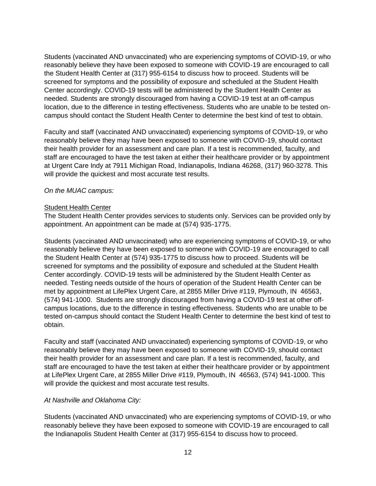Students (vaccinated AND unvaccinated) who are experiencing symptoms of COVID-19, or who reasonably believe they have been exposed to someone with COVID-19 are encouraged to call the Student Health Center at (317) 955-6154 to discuss how to proceed. Students will be screened for symptoms and the possibility of exposure and scheduled at the Student Health Center accordingly. COVID-19 tests will be administered by the Student Health Center as needed. Students are strongly discouraged from having a COVID-19 test at an off-campus location, due to the difference in testing effectiveness. Students who are unable to be tested oncampus should contact the Student Health Center to determine the best kind of test to obtain.

Faculty and staff (vaccinated AND unvaccinated) experiencing symptoms of COVID-19, or who reasonably believe they may have been exposed to someone with COVID-19, should contact their health provider for an assessment and care plan. If a test is recommended, faculty, and staff are encouraged to have the test taken at either their healthcare provider or by appointment at Urgent Care Indy at 7911 Michigan Road, Indianapolis, Indiana 46268, (317) 960-3278. This will provide the quickest and most accurate test results.

# *On the MUAC campus:*

# Student Health Center

The Student Health Center provides services to students only. Services can be provided only by appointment. An appointment can be made at (574) 935-1775.

Students (vaccinated AND unvaccinated) who are experiencing symptoms of COVID-19, or who reasonably believe they have been exposed to someone with COVID-19 are encouraged to call the Student Health Center at (574) 935-1775 to discuss how to proceed. Students will be screened for symptoms and the possibility of exposure and scheduled at the Student Health Center accordingly. COVID-19 tests will be administered by the Student Health Center as needed. Testing needs outside of the hours of operation of the Student Health Center can be met by appointment at LifePlex Urgent Care, at 2855 Miller Drive #119, Plymouth, IN 46563, (574) 941-1000. Students are strongly discouraged from having a COVID-19 test at other offcampus locations, due to the difference in testing effectiveness. Students who are unable to be tested on-campus should contact the Student Health Center to determine the best kind of test to obtain.

Faculty and staff (vaccinated AND unvaccinated) experiencing symptoms of COVID-19, or who reasonably believe they may have been exposed to someone with COVID-19, should contact their health provider for an assessment and care plan. If a test is recommended, faculty, and staff are encouraged to have the test taken at either their healthcare provider or by appointment at LifePlex Urgent Care, at 2855 Miller Drive #119, Plymouth, IN 46563, (574) 941-1000. This will provide the quickest and most accurate test results.

# *At Nashville and Oklahoma City:*

Students (vaccinated AND unvaccinated) who are experiencing symptoms of COVID-19, or who reasonably believe they have been exposed to someone with COVID-19 are encouraged to call the Indianapolis Student Health Center at (317) 955-6154 to discuss how to proceed.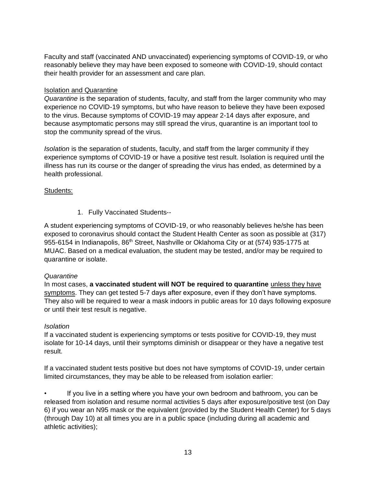Faculty and staff (vaccinated AND unvaccinated) experiencing symptoms of COVID-19, or who reasonably believe they may have been exposed to someone with COVID-19, should contact their health provider for an assessment and care plan.

# Isolation and Quarantine

*Quarantine* is the separation of students, faculty, and staff from the larger community who may experience no COVID-19 symptoms, but who have reason to believe they have been exposed to the virus. Because symptoms of COVID-19 may appear 2-14 days after exposure, and because asymptomatic persons may still spread the virus, quarantine is an important tool to stop the community spread of the virus.

*Isolation* is the separation of students, faculty, and staff from the larger community if they experience symptoms of COVID-19 or have a positive test result. Isolation is required until the illness has run its course or the danger of spreading the virus has ended, as determined by a health professional.

# Students:

1. Fully Vaccinated Students--

A student experiencing symptoms of COVID-19, or who reasonably believes he/she has been exposed to coronavirus should contact the Student Health Center as soon as possible at (317) 955-6154 in Indianapolis, 86<sup>th</sup> Street, Nashville or Oklahoma City or at (574) 935-1775 at MUAC. Based on a medical evaluation, the student may be tested, and/or may be required to quarantine or isolate.

# *Quarantine*

In most cases, **a vaccinated student will NOT be required to quarantine** unless they have symptoms. They can get tested 5-7 days after exposure, even if they don't have symptoms. They also will be required to wear a mask indoors in public areas for 10 days following exposure or until their test result is negative.

# *Isolation*

If a vaccinated student is experiencing symptoms or tests positive for COVID-19, they must isolate for 10-14 days, until their symptoms diminish or disappear or they have a negative test result.

If a vaccinated student tests positive but does not have symptoms of COVID-19, under certain limited circumstances, they may be able to be released from isolation earlier:

• If you live in a setting where you have your own bedroom and bathroom, you can be released from isolation and resume normal activities 5 days after exposure/positive test (on Day 6) if you wear an N95 mask or the equivalent (provided by the Student Health Center) for 5 days (through Day 10) at all times you are in a public space (including during all academic and athletic activities);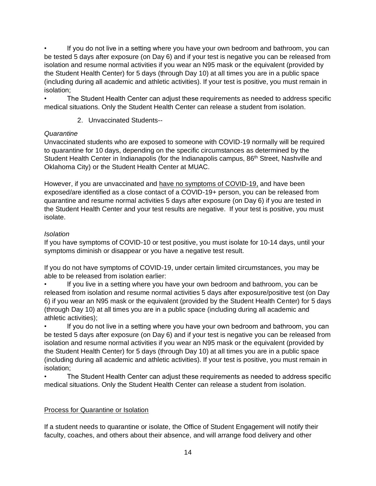If you do not live in a setting where you have your own bedroom and bathroom, you can be tested 5 days after exposure (on Day 6) and if your test is negative you can be released from isolation and resume normal activities if you wear an N95 mask or the equivalent (provided by the Student Health Center) for 5 days (through Day 10) at all times you are in a public space (including during all academic and athletic activities). If your test is positive, you must remain in isolation;

• The Student Health Center can adjust these requirements as needed to address specific medical situations. Only the Student Health Center can release a student from isolation.

2. Unvaccinated Students--

# *Quarantine*

Unvaccinated students who are exposed to someone with COVID-19 normally will be required to quarantine for 10 days, depending on the specific circumstances as determined by the Student Health Center in Indianapolis (for the Indianapolis campus, 86<sup>th</sup> Street, Nashville and Oklahoma City) or the Student Health Center at MUAC.

However, if you are unvaccinated and have no symptoms of COVID-19, and have been exposed/are identified as a close contact of a COVID-19+ person, you can be released from quarantine and resume normal activities 5 days after exposure (on Day 6) if you are tested in the Student Health Center and your test results are negative. If your test is positive, you must isolate.

# *Isolation*

If you have symptoms of COVID-10 or test positive, you must isolate for 10-14 days, until your symptoms diminish or disappear or you have a negative test result.

If you do not have symptoms of COVID-19, under certain limited circumstances, you may be able to be released from isolation earlier:

If you live in a setting where you have your own bedroom and bathroom, you can be released from isolation and resume normal activities 5 days after exposure/positive test (on Day 6) if you wear an N95 mask or the equivalent (provided by the Student Health Center) for 5 days (through Day 10) at all times you are in a public space (including during all academic and athletic activities);

If you do not live in a setting where you have your own bedroom and bathroom, you can be tested 5 days after exposure (on Day 6) and if your test is negative you can be released from isolation and resume normal activities if you wear an N95 mask or the equivalent (provided by the Student Health Center) for 5 days (through Day 10) at all times you are in a public space (including during all academic and athletic activities). If your test is positive, you must remain in isolation;

• The Student Health Center can adjust these requirements as needed to address specific medical situations. Only the Student Health Center can release a student from isolation.

# Process for Quarantine or Isolation

If a student needs to quarantine or isolate, the Office of Student Engagement will notify their faculty, coaches, and others about their absence, and will arrange food delivery and other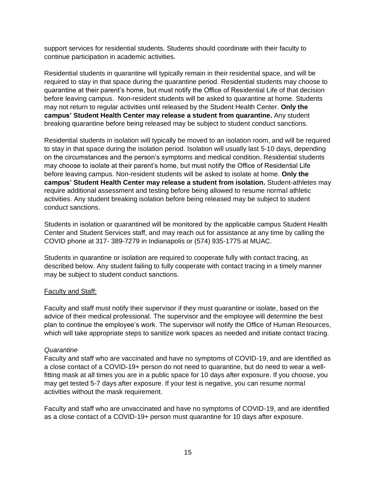support services for residential students. Students should coordinate with their faculty to continue participation in academic activities.

Residential students in quarantine will typically remain in their residential space, and will be required to stay in that space during the quarantine period. Residential students may choose to quarantine at their parent's home, but must notify the Office of Residential Life of that decision before leaving campus. Non-resident students will be asked to quarantine at home. Students may not return to regular activities until released by the Student Health Center. **Only the campus' Student Health Center may release a student from quarantine.** Any student breaking quarantine before being released may be subject to student conduct sanctions.

Residential students in isolation will typically be moved to an isolation room, and will be required to stay in that space during the isolation period. Isolation will usually last 5-10 days, depending on the circumstances and the person's symptoms and medical condition. Residential students may choose to isolate at their parent's home, but must notify the Office of Residential Life before leaving campus. Non-resident students will be asked to isolate at home. **Only the campus' Student Health Center may release a student from isolation.** Student-athletes may require additional assessment and testing before being allowed to resume normal athletic activities. Any student breaking isolation before being released may be subject to student conduct sanctions.

Students in isolation or quarantined will be monitored by the applicable campus Student Health Center and Student Services staff, and may reach out for assistance at any time by calling the COVID phone at 317- 389-7279 in Indianapolis or (574) 935-1775 at MUAC.

Students in quarantine or isolation are required to cooperate fully with contact tracing, as described below. Any student failing to fully cooperate with contact tracing in a timely manner may be subject to student conduct sanctions.

# Faculty and Staff:

Faculty and staff must notify their supervisor if they must quarantine or isolate, based on the advice of their medical professional. The supervisor and the employee will determine the best plan to continue the employee's work. The supervisor will notify the Office of Human Resources, which will take appropriate steps to sanitize work spaces as needed and initiate contact tracing.

#### *Quarantine*

Faculty and staff who are vaccinated and have no symptoms of COVID-19, and are identified as a close contact of a COVID-19+ person do not need to quarantine, but do need to wear a wellfitting mask at all times you are in a public space for 10 days after exposure. If you choose, you may get tested 5-7 days after exposure. If your test is negative, you can resume normal activities without the mask requirement.

Faculty and staff who are unvaccinated and have no symptoms of COVID-19, and are identified as a close contact of a COVID-19+ person must quarantine for 10 days after exposure.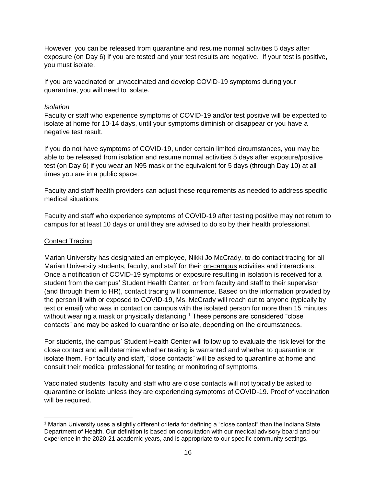However, you can be released from quarantine and resume normal activities 5 days after exposure (on Day 6) if you are tested and your test results are negative. If your test is positive, you must isolate.

If you are vaccinated or unvaccinated and develop COVID-19 symptoms during your quarantine, you will need to isolate.

#### *Isolation*

Faculty or staff who experience symptoms of COVID-19 and/or test positive will be expected to isolate at home for 10-14 days, until your symptoms diminish or disappear or you have a negative test result.

If you do not have symptoms of COVID-19, under certain limited circumstances, you may be able to be released from isolation and resume normal activities 5 days after exposure/positive test (on Day 6) if you wear an N95 mask or the equivalent for 5 days (through Day 10) at all times you are in a public space.

Faculty and staff health providers can adjust these requirements as needed to address specific medical situations.

Faculty and staff who experience symptoms of COVID-19 after testing positive may not return to campus for at least 10 days or until they are advised to do so by their health professional.

#### Contact Tracing

Marian University has designated an employee, Nikki Jo McCrady, to do contact tracing for all Marian University students, faculty, and staff for their on-campus activities and interactions. Once a notification of COVID-19 symptoms or exposure resulting in isolation is received for a student from the campus' Student Health Center, or from faculty and staff to their supervisor (and through them to HR), contact tracing will commence. Based on the information provided by the person ill with or exposed to COVID-19, Ms. McCrady will reach out to anyone (typically by text or email) who was in contact on campus with the isolated person for more than 15 minutes without wearing a mask or physically distancing.<sup>1</sup> These persons are considered "close" contacts" and may be asked to quarantine or isolate, depending on the circumstances.

For students, the campus' Student Health Center will follow up to evaluate the risk level for the close contact and will determine whether testing is warranted and whether to quarantine or isolate them. For faculty and staff, "close contacts" will be asked to quarantine at home and consult their medical professional for testing or monitoring of symptoms.

Vaccinated students, faculty and staff who are close contacts will not typically be asked to quarantine or isolate unless they are experiencing symptoms of COVID-19. Proof of vaccination will be required.

 $1$  Marian University uses a slightly different criteria for defining a "close contact" than the Indiana State Department of Health. Our definition is based on consultation with our medical advisory board and our experience in the 2020-21 academic years, and is appropriate to our specific community settings.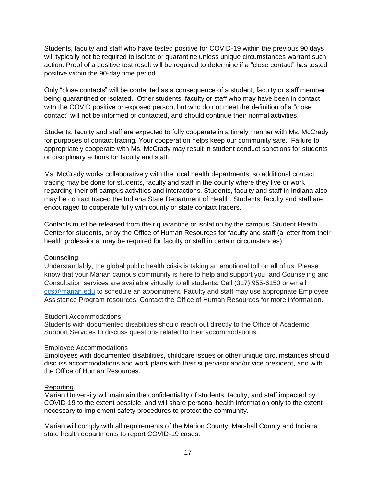Students, faculty and staff who have tested positive for COVID-19 within the previous 90 days will typically not be required to isolate or quarantine unless unique circumstances warrant such action. Proof of a positive test result will be required to determine if a "close contact" has tested positive within the 90-day time period.

Only "close contacts" will be contacted as a consequence of a student, faculty or staff member being quarantined or isolated. Other students, faculty or staff who may have been in contact with the COVID positive or exposed person, but who do not meet the definition of a "close contact" will not be informed or contacted, and should continue their normal activities.

Students, faculty and staff are expected to fully cooperate in a timely manner with Ms. McCrady for purposes of contact tracing. Your cooperation helps keep our community safe. Failure to appropriately cooperate with Ms. McCrady may result in student conduct sanctions for students or disciplinary actions for faculty and staff.

Ms. McCrady works collaboratively with the local health departments, so additional contact tracing may be done for students, faculty and staff in the county where they live or work regarding their off-campus activities and interactions. Students, faculty and staff in Indiana also may be contact traced the Indiana State Department of Health. Students, faculty and staff are encouraged to cooperate fully with county or state contact tracers.

Contacts must be released from their quarantine or isolation by the campus' Student Health Center for students, or by the Office of Human Resources for faculty and staff (a letter from their health professional may be required for faculty or staff in certain circumstances).

#### **Counseling**

Understandably, the global public health crisis is taking an emotional toll on all of us. Please know that your Marian campus community is here to help and support you, and Counseling and Consultation services are available virtually to all students. Call (317) 955-6150 or email [ccs@marian.edu](mailto:ccs@marian.edu) to schedule an appointment. Faculty and staff may use appropriate Employee Assistance Program resources. Contact the Office of Human Resources for more information.

#### Student Accommodations

Students with documented disabilities should reach out directly to the Office of Academic Support Services to discuss questions related to their accommodations.

#### Employee Accommodations

Employees with documented disabilities, childcare issues or other unique circumstances should discuss accommodations and work plans with their supervisor and/or vice president, and with the Office of Human Resources.

# Reporting

Marian University will maintain the confidentiality of students, faculty, and staff impacted by COVID-19 to the extent possible, and will share personal health information only to the extent necessary to implement safety procedures to protect the community.

Marian will comply with all requirements of the Marion County, Marshall County and Indiana state health departments to report COVID-19 cases.